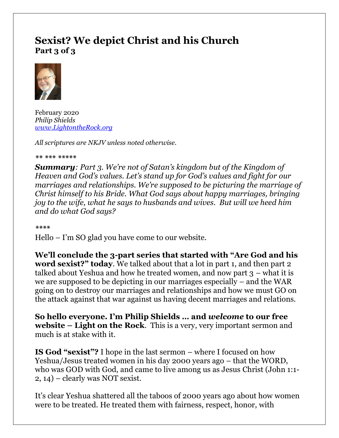# **Sexist? We depict Christ and his Church Part 3 of 3**



February 2020 *Philip Shields [www.LightontheRock.org](http://www.lightontherock.org/)*

*All scriptures are NKJV unless noted otherwise.* 

*\*\* \*\*\* \*\*\*\*\** 

*Summary: Part 3. We're not of Satan's kingdom but of the Kingdom of Heaven and God's values. Let's stand up for God's values and fight for our marriages and relationships. We're supposed to be picturing the marriage of Christ himself to his Bride. What God says about happy marriages, bringing joy to the wife, what he says to husbands and wives. But will we heed him and do what God says?* 

*\*\*\*\**

Hello – I'm SO glad you have come to our website.

**We'll conclude the 3-part series that started with "Are God and his word sexist?" today**. We talked about that a lot in part 1, and then part 2 talked about Yeshua and how he treated women, and now part  $3$  – what it is we are supposed to be depicting in our marriages especially – and the WAR going on to destroy our marriages and relationships and how we must GO on the attack against that war against us having decent marriages and relations.

**So hello everyone. I'm Philip Shields … and** *welcome* **to our free website – Light on the Rock**. This is a very, very important sermon and much is at stake with it.

**IS God "sexist"?** I hope in the last sermon – where I focused on how Yeshua/Jesus treated women in his day 2000 years ago – that the WORD, who was GOD with God, and came to live among us as Jesus Christ (John 1:1- 2, 14) – clearly was NOT sexist.

It's clear Yeshua shattered all the taboos of 2000 years ago about how women were to be treated. He treated them with fairness, respect, honor, with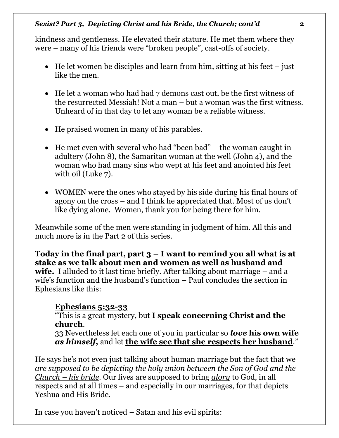kindness and gentleness. He elevated their stature. He met them where they were – many of his friends were "broken people", cast-offs of society.

- He let women be disciples and learn from him, sitting at his feet  $-$  just like the men.
- He let a woman who had had 7 demons cast out, be the first witness of the resurrected Messiah! Not a man – but a woman was the first witness. Unheard of in that day to let any woman be a reliable witness.
- He praised women in many of his parables.
- He met even with several who had "been bad" the woman caught in adultery (John 8), the Samaritan woman at the well (John 4), and the woman who had many sins who wept at his feet and anointed his feet with oil (Luke 7).
- WOMEN were the ones who stayed by his side during his final hours of agony on the cross – and I think he appreciated that. Most of us don't like dying alone. Women, thank you for being there for him.

Meanwhile some of the men were standing in judgment of him. All this and much more is in the Part 2 of this series.

Today in the final part, part  $3 - I$  want to remind you all what is at **stake as we talk about men and women as well as husband and wife.** I alluded to it last time briefly. After talking about marriage – and a wife's function and the husband's function – Paul concludes the section in Ephesians like this:

# **Ephesians 5:32-33**

"This is a great mystery, but **I speak concerning Christ and the church**.

33 Nevertheless let each one of you in particular so *love* **his own wife**  *as himself***,** and let **the wife see that she respects her husband**."

He says he's not even just talking about human marriage but the fact that we *are supposed to be depicting the holy union between the Son of God and the Church – his bride*. Our lives are supposed to bring *glory* to God, in all respects and at all times – and especially in our marriages, for that depicts Yeshua and His Bride.

In case you haven't noticed – Satan and his evil spirits: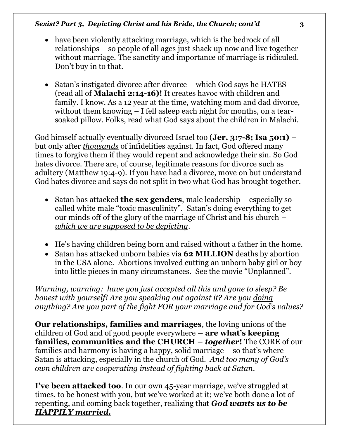#### *Sexist? Part 3, Depicting Christ and his Bride, the Church; cont'd* **3**

- have been violently attacking marriage, which is the bedrock of all relationships – so people of all ages just shack up now and live together without marriage. The sanctity and importance of marriage is ridiculed. Don't buy in to that.
- Satan's instigated divorce after divorce which God says he HATES (read all of **Malachi 2:14-16)!** It creates havoc with children and family. I know. As a 12 year at the time, watching mom and dad divorce, without them knowing – I fell asleep each night for months, on a tearsoaked pillow. Folks, read what God says about the children in Malachi.

God himself actually eventually divorced Israel too (**Jer. 3:7-8; Isa 50:1)** – but only after *thousands* of infidelities against. In fact, God offered many times to forgive them if they would repent and acknowledge their sin. So God hates divorce. There are, of course, legitimate reasons for divorce such as adultery (Matthew 19:4-9). If you have had a divorce, move on but understand God hates divorce and says do not split in two what God has brought together.

- Satan has attacked **the sex genders**, male leadership especially socalled white male "toxic masculinity". Satan's doing everything to get our minds off of the glory of the marriage of Christ and his church – *which we are supposed to be depicting*.
- He's having children being born and raised without a father in the home.
- Satan has attacked unborn babies via **62 MILLION** deaths by abortion in the USA alone. Abortions involved cutting an unborn baby girl or boy into little pieces in many circumstances. See the movie "Unplanned".

*Warning, warning: have you just accepted all this and gone to sleep? Be honest with yourself! Are you speaking out against it? Are you doing anything? Are you part of the fight FOR your marriage and for God's values?*

**Our relationships, families and marriages**, the loving unions of the children of God and of good people everywhere **– are what's keeping families, communities and the CHURCH –** *together***!** The CORE of our families and harmony is having a happy, solid marriage – so that's where Satan is attacking, especially in the church of God. *And too many of God's own children are cooperating instead of fighting back at Satan*.

**I've been attacked too**. In our own 45-year marriage, we've struggled at times, to be honest with you, but we've worked at it; we've both done a lot of repenting, and coming back together, realizing that *God wants us to be HAPPILY married.*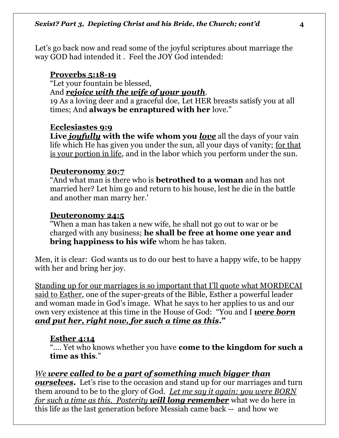Let's go back now and read some of the joyful scriptures about marriage the way GOD had intended it . Feel the JOY God intended:

### **Proverbs 5:18-19**

"Let your fountain be blessed,

### And *rejoice with the wife of your youth*.

19 As a loving deer and a graceful doe, Let HER breasts satisfy you at all times; And **always be enraptured with her** love."

#### **Ecclesiastes 9:9**

**Live** *joyfully* **with the wife whom you** *love* all the days of your vain life which He has given you under the sun, all your days of vanity; for that is your portion in life, and in the labor which you perform under the sun.

#### **Deuteronomy 20:7**

"And what man is there who is **betrothed to a woman** and has not married her? Let him go and return to his house, lest he die in the battle and another man marry her.'

#### **Deuteronomy 24:5**

"When a man has taken a new wife, he shall not go out to war or be charged with any business; **he shall be free at home one year and bring happiness to his wife** whom he has taken.

Men, it is clear: God wants us to do our best to have a happy wife, to be happy with her and bring her joy.

Standing up for our marriages is so important that I'll quote what MORDECAI said to Esther, one of the super-greats of the Bible, Esther a powerful leader and woman made in God's image. What he says to her applies to us and our own very existence at this time in the House of God: "You and I *were born and put her, right now, for such a time as this***."** 

#### **Esther 4:14**

"…. Yet who knows whether you have **come to the kingdom for such a time as this**."

### *We were called to be a part of something much bigger than*

*ourselves*. Let's rise to the occasion and stand up for our marriages and turn them around to be to the glory of God. *Let me say it again: you were BORN for such a time as this. Posterity will long remember* what we do here in this life as the last generation before Messiah came back -- and how we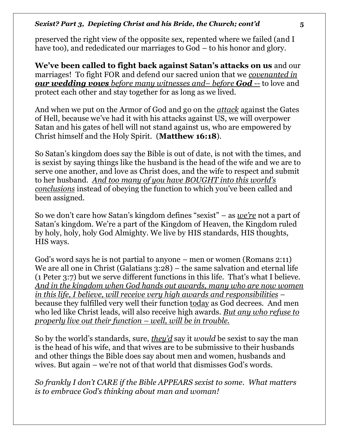preserved the right view of the opposite sex, repented where we failed (and I have too), and rededicated our marriages to God – to his honor and glory.

**We've been called to fight back against Satan's attacks on us** and our marriages! To fight FOR and defend our sacred union that we *covenanted in our wedding vows before many witnesses and– before God --* to love and protect each other and stay together for as long as we lived.

And when we put on the Armor of God and go on the *attack* against the Gates of Hell, because we've had it with his attacks against US, we will overpower Satan and his gates of hell will not stand against us, who are empowered by Christ himself and the Holy Spirit. (**Matthew 16:18**).

So Satan's kingdom does say the Bible is out of date, is not with the times, and is sexist by saying things like the husband is the head of the wife and we are to serve one another, and love as Christ does, and the wife to respect and submit to her husband. *And too many of you have BOUGHT into this world's conclusions* instead of obeying the function to which you've been called and been assigned.

So we don't care how Satan's kingdom defines "sexist" – as *we're* not a part of Satan's kingdom. We're a part of the Kingdom of Heaven, the Kingdom ruled by holy, holy, holy God Almighty. We live by HIS standards, HIS thoughts, HIS ways.

God's word says he is not partial to anyone – men or women (Romans 2:11) We are all one in Christ (Galatians 3:28) – the same salvation and eternal life (1 Peter 3:7) but we serve different functions in this life. That's what I believe. *And in the kingdom when God hands out awards, many who are now women in this life, I believe, will receive very high awards and responsibilities* – because they fulfilled very well their function today as God decrees. And men who led like Christ leads, will also receive high awards. *But any who refuse to properly live out their function – well, will be in trouble.* 

So by the world's standards, sure, *they'd* say it *would* be sexist to say the man is the head of his wife, and that wives are to be submissive to their husbands and other things the Bible does say about men and women, husbands and wives. But again – we're not of that world that dismisses God's words.

*So frankly I don't CARE if the Bible APPEARS sexist to some. What matters is to embrace God's thinking about man and woman!*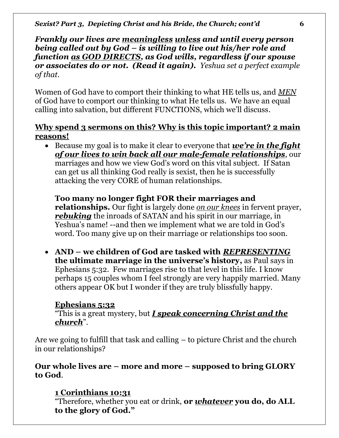*Frankly our lives are meaningless unless and until every person being called out by God – is willing to live out his/her role and function as GOD DIRECTS, as God wills, regardless if our spouse or associates do or not. (Read it again). Yeshua set a perfect example of that.* 

Women of God have to comport their thinking to what HE tells us, and *MEN* of God have to comport our thinking to what He tells us. We have an equal calling into salvation, but different FUNCTIONS, which we'll discuss.

### **Why spend 3 sermons on this? Why is this topic important? 2 main reasons!**

• Because my goal is to make it clear to everyone that *we're in the fight of our lives to win back all our male-female relationships*, our marriages and how we view God's word on this vital subject. If Satan can get us all thinking God really is sexist, then he is successfully attacking the very CORE of human relationships.

**Too many no longer fight FOR their marriages and relationships.** Our fight is largely done *on our knees* in fervent prayer, *rebuking* the inroads of SATAN and his spirit in our marriage, in Yeshua's name! --and then we implement what we are told in God's word. Too many give up on their marriage or relationships too soon.

• **AND – we children of God are tasked with** *REPRESENTING* **the ultimate marriage in the universe's history,** as Paul says in Ephesians 5:32. Few marriages rise to that level in this life. I know perhaps 15 couples whom I feel strongly are very happily married. Many others appear OK but I wonder if they are truly blissfully happy.

# **Ephesians 5:32**

"This is a great mystery, but *I speak concerning Christ and the church*".

Are we going to fulfill that task and calling – to picture Christ and the church in our relationships?

### **Our whole lives are – more and more – supposed to bring GLORY to God**.

# **1 Corinthians 10:31**

"Therefore, whether you eat or drink, **or** *whatever* **you do, do ALL to the glory of God."**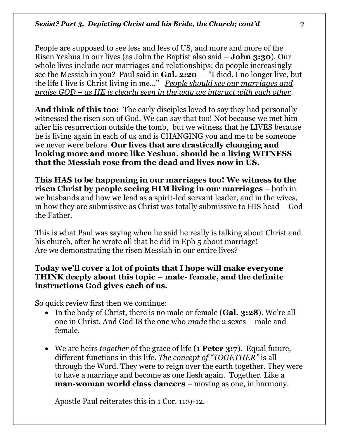People are supposed to see less and less of US, and more and more of the Risen Yeshua in our lives (as John the Baptist also said – **John 3:30**). Our whole lives include our marriages and relationships: do people increasingly see the Messiah in you? Paul said in **Gal. 2:20** -- "I died. I no longer live, but the life I live is Christ living in me…" *People should see our marriages and praise GOD – as HE is clearly seen in the way we interact with each other*.

**And think of this too:** The early disciples loved to say they had personally witnessed the risen son of God. We can say that too! Not because we met him after his resurrection outside the tomb, but we witness that he LIVES because he is living again in each of us and is CHANGING you and me to be someone we never were before. **Our lives that are drastically changing and looking more and more like Yeshua, should be a living WITNESS that the Messiah rose from the dead and lives now in US.** 

**This HAS to be happening in our marriages too! We witness to the risen Christ by people seeing HIM living in our marriages** – both in we husbands and how we lead as a spirit-led servant leader, and in the wives, in how they are submissive as Christ was totally submissive to HIS head – God the Father.

This is what Paul was saying when he said he really is talking about Christ and his church, after he wrote all that he did in Eph 5 about marriage! Are we demonstrating the risen Messiah in our entire lives?

### **Today we'll cover a lot of points that I hope will make everyone THINK deeply about this topic – male- female, and the definite instructions God gives each of us.**

So quick review first then we continue:

- In the body of Christ, there is no male or female (**Gal. 3:28**). We're all one in Christ. And God IS the one who *made* the 2 sexes – male and female.
- We are heirs *together* of the grace of life (**1 Peter 3:7**). Equal future, different functions in this life. *The concept of "TOGETHER"* is all through the Word. They were to reign over the earth together. They were to have a marriage and become as one flesh again. Together. Like a **man-woman world class dancers** – moving as one, in harmony.

Apostle Paul reiterates this in 1 Cor. 11:9-12.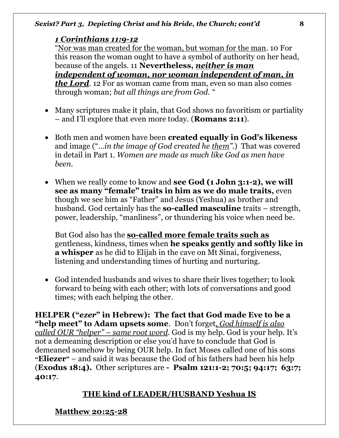# *1 Corinthians 11:9-12*

"Nor was man created for the woman, but woman for the man. 10 For this reason the woman ought to have a symbol of authority on her head, because of the angels. 11 **Nevertheless,** *neither is man independent of woman, nor woman independent of man, in the Lord*. 12 For as woman came from man, even so man also comes through woman; *but all things are from God. "*

- Many scriptures make it plain, that God shows no favoritism or partiality – and I'll explore that even more today. (**Romans 2:11**).
- Both men and women have been **created equally in God's likeness** and image ("…*in the image of God created he them".*) That was covered in detail in Part 1. *Women are made as much like God as men have been.*
- When we really come to know and **see God** (1 John 3:1-2), we will **see as many "female" traits in him as we do male traits,** even though we see him as "Father" and Jesus (Yeshua) as brother and husband. God certainly has the **so-called masculine** traits – strength, power, leadership, "manliness", or thundering his voice when need be.

But God also has the **so-called more female traits such as** gentleness, kindness, times when **he speaks gently and softly like in a whisper** as he did to Elijah in the cave on Mt Sinai, forgiveness, listening and understanding times of hurting and nurturing.

• God intended husbands and wives to share their lives together; to look forward to being with each other; with lots of conversations and good times; with each helping the other.

**HELPER ("***ezer***" in Hebrew): The fact that God made Eve to be a "help meet" to Adam upsets some**. Don't forget*, God himself is also called OUR "helper" – same root word*. God is my help. God is your help. It's not a demeaning description or else you'd have to conclude that God is demeaned somehow by being OUR help. In fact Moses called one of his sons **"Eliezer"** – and said it was because the God of his fathers had been his help (**Exodus 18:4).** Other scriptures are **- Psalm 121:1-2; 70:5; 94:17; 63:7; 40:17**.

# **THE kind of LEADER/HUSBAND Yeshua IS**

**Matthew 20:25-28**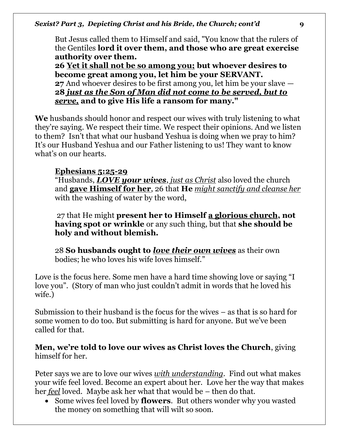But Jesus called them to Himself and said, "You know that the rulers of the Gentiles **lord it over them, and those who are great exercise authority over them.** 

**26 Yet it shall not be so among you; but whoever desires to become great among you, let him be your SERVANT. 27** And whoever desires to be first among you, let him be your slave — **28** *just as the Son of Man did not come to be served, but to serve,* **and to give His life a ransom for many."** 

**We** husbands should honor and respect our wives with truly listening to what they're saying. We respect their time. We respect their opinions. And we listen to them? Isn't that what our husband Yeshua is doing when we pray to him? It's our Husband Yeshua and our Father listening to us! They want to know what's on our hearts.

# **Ephesians 5:25-29**

"Husbands, *LOVE your wives*, *just as Christ* also loved the church and **gave Himself for her**, 26 that **He** *might sanctify and cleanse her* with the washing of water by the word,

27 that He might **present her to Himself a glorious church, not having spot or wrinkle** or any such thing, but that **she should be holy and without blemish.**

28 **So husbands ought to** *love their own wives* as their own bodies; he who loves his wife loves himself."

Love is the focus here. Some men have a hard time showing love or saying "I love you". (Story of man who just couldn't admit in words that he loved his wife.)

Submission to their husband is the focus for the wives – as that is so hard for some women to do too. But submitting is hard for anyone. But we've been called for that.

**Men, we're told to love our wives as Christ loves the Church**, giving himself for her.

Peter says we are to love our wives *with understanding*. Find out what makes your wife feel loved. Become an expert about her. Love her the way that makes her *feel* loved. Maybe ask her what that would be – then do that.

• Some wives feel loved by **flowers**. But others wonder why you wasted the money on something that will wilt so soon.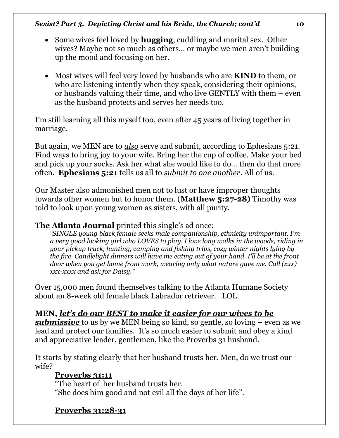#### *Sexist? Part 3, Depicting Christ and his Bride, the Church; cont'd* **10**

- Some wives feel loved by **hugging**, cuddling and marital sex. Other wives? Maybe not so much as others… or maybe we men aren't building up the mood and focusing on her.
- Most wives will feel very loved by husbands who are **KIND** to them, or who are listening intently when they speak, considering their opinions, or husbands valuing their time, and who live GENTLY with them – even as the husband protects and serves her needs too.

I'm still learning all this myself too, even after 45 years of living together in marriage.

But again, we MEN are to *also* serve and submit, according to Ephesians 5:21. Find ways to bring joy to your wife. Bring her the cup of coffee. Make your bed and pick up your socks. Ask her what she would like to do… then do that more often. **Ephesians 5:21** tells us all to *submit to one another*. All of us.

Our Master also admonished men not to lust or have improper thoughts towards other women but to honor them. (**Matthew 5:27-28)** Timothy was told to look upon young women as sisters, with all purity.

### **The Atlanta Journal** printed this single's ad once:

*"SINGLE young black female seeks male companionship, ethnicity unimportant. I'm a very good looking girl who LOVES to play. I love long walks in the woods, riding in your pickup truck, hunting, camping and fishing trips, cozy winter nights lying by the fire. Candlelight dinners will have me eating out of your hand. I'll be at the front door when you get home from work, wearing only what nature gave me. Call (xxx) xxx-xxxx and ask for Daisy."* 

Over 15,000 men found themselves talking to the Atlanta Humane Society about an 8-week old female black Labrador retriever. LOL.

### **MEN,** *let's do our BEST to make it easier for our wives to be*

*submissive* to us by we MEN being so kind, so gentle, so loving – even as we lead and protect our families. It's so much easier to submit and obey a kind and appreciative leader, gentlemen, like the Proverbs 31 husband.

It starts by stating clearly that her husband trusts her. Men, do we trust our wife?

### **Proverbs 31:11**

"The heart of her husband trusts her. "She does him good and not evil all the days of her life".

# **Proverbs 31:28-31**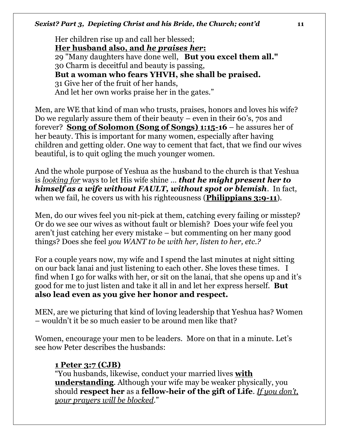#### *Sexist? Part 3, Depicting Christ and his Bride, the Church; cont'd* **11**

Her children rise up and call her blessed; **Her husband also, and** *he praises her***:**  29 "Many daughters have done well, **But you excel them all."**  30 Charm is deceitful and beauty is passing, **But a woman who fears YHVH, she shall be praised.**  31 Give her of the fruit of her hands, And let her own works praise her in the gates."

Men, are WE that kind of man who trusts, praises, honors and loves his wife? Do we regularly assure them of their beauty – even in their 60's, 70s and forever? **Song of Solomon (Song of Songs) 1:15-16** – he assures her of her beauty. This is important for many women, especially after having children and getting older. One way to cement that fact, that we find our wives beautiful, is to quit ogling the much younger women.

And the whole purpose of Yeshua as the husband to the church is that Yeshua is *looking for* ways to let His wife shine … *that he might present her to himself as a wife without FAULT, without spot or blemish*. In fact, when we fail, he covers us with his righteousness (**Philippians 3:9-11**).

Men, do our wives feel you nit-pick at them, catching every failing or misstep? Or do we see our wives as without fault or blemish? Does your wife feel you aren't just catching her every mistake – but commenting on her many good things? Does she feel *you WANT to be with her, listen to her, etc.?* 

For a couple years now, my wife and I spend the last minutes at night sitting on our back lanai and just listening to each other. She loves these times. I find when I go for walks with her, or sit on the lanai, that she opens up and it's good for me to just listen and take it all in and let her express herself. **But also lead even as you give her honor and respect.** 

MEN, are we picturing that kind of loving leadership that Yeshua has? Women – wouldn't it be so much easier to be around men like that?

Women, encourage your men to be leaders. More on that in a minute. Let's see how Peter describes the husbands:

### **1 Peter 3:7 (CJB)**

"You husbands, likewise, conduct your married lives **with understanding**. Although your wife may be weaker physically, you should **respect her** as a **fellow-heir of the gift of Life**. *If you don't, your prayers will be blocked*."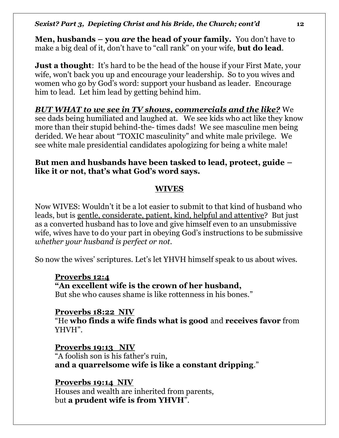**Men, husbands – you** *are* **the head of your family.** You don't have to make a big deal of it, don't have to "call rank" on your wife, **but do lead**.

**Just a thought**: It's hard to be the head of the house if your First Mate, your wife, won't back you up and encourage your leadership. So to you wives and women who go by God's word: support your husband as leader. Encourage him to lead. Let him lead by getting behind him.

*BUT WHAT to we see in TV shows, commercials and the like?* We see dads being humiliated and laughed at. We see kids who act like they know more than their stupid behind-the- times dads! We see masculine men being derided. We hear about "TOXIC masculinity" and white male privilege.We see white male presidential candidates apologizing for being a white male!

### **But men and husbands have been tasked to lead, protect, guide – like it or not, that's what God's word says.**

# **WIVES**

Now WIVES: Wouldn't it be a lot easier to submit to that kind of husband who leads, but is gentle, considerate, patient, kind, helpful and attentive? But just as a converted husband has to love and give himself even to an unsubmissive wife, wives have to do your part in obeying God's instructions to be submissive *whether your husband is perfect or not.* 

So now the wives' scriptures. Let's let YHVH himself speak to us about wives.

# **Proverbs 12:4**

# **"An excellent wife is the crown of her husband,**

But she who causes shame is like rottenness in his bones."

# **Proverbs 18:22 NIV**

"He **who finds a wife finds what is good** and **receives favor** from YHVH".

**Proverbs 19:13 NIV** "A foolish son is his father's ruin, **and a quarrelsome wife is like a constant dripping**."

**Proverbs 19:14 NIV** Houses and wealth are inherited from parents, but **a prudent wife is from YHVH**".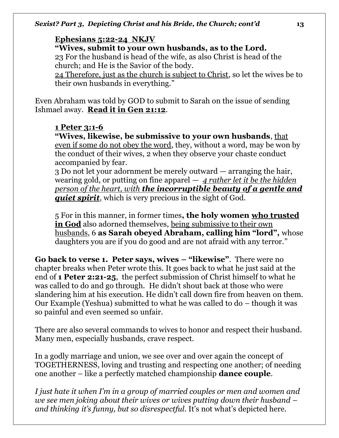# **Ephesians 5:22-24 NKJV**

# **"Wives, submit to your own husbands, as to the Lord.**

23 For the husband is head of the wife, as also Christ is head of the church; and He is the Savior of the body.

24 Therefore, just as the church is subject to Christ, so let the wives be to their own husbands in everything."

Even Abraham was told by GOD to submit to Sarah on the issue of sending Ishmael away. **Read it in Gen 21:12**.

# **1 Peter 3:1-6**

**"Wives, likewise, be submissive to your own husbands**, that even if some do not obey the word, they, without a word, may be won by the conduct of their wives, 2 when they observe your chaste conduct accompanied by fear.

3 Do not let your adornment be merely outward — arranging the hair, wearing gold, or putting on fine apparel — *4 rather let it be the hidden person of the heart, with the incorruptible beauty of a gentle and quiet spirit*, which is very precious in the sight of God.

5 For in this manner, in former times**, the holy women who trusted in God** also adorned themselves, being submissive to their own husbands, 6 **as Sarah obeyed Abraham, calling him "lord",** whose daughters you are if you do good and are not afraid with any terror."

**Go back to verse 1. Peter says, wives – "likewise"**. There were no chapter breaks when Peter wrote this. It goes back to what he just said at the end of **1 Peter 2:21-25**, the perfect submission of Christ himself to what he was called to do and go through. He didn't shout back at those who were slandering him at his execution. He didn't call down fire from heaven on them. Our Example (Yeshua) submitted to what he was called to do – though it was so painful and even seemed so unfair.

There are also several commands to wives to honor and respect their husband. Many men, especially husbands, crave respect.

In a godly marriage and union, we see over and over again the concept of TOGETHERNESS, loving and trusting and respecting one another; of needing one another – like a perfectly matched championship **dance couple**.

*I just hate it when I'm in a group of married couples or men and women and we see men joking about their wives or wives putting down their husband – and thinking it's funny, but so disrespectful.* It's not what's depicted here.